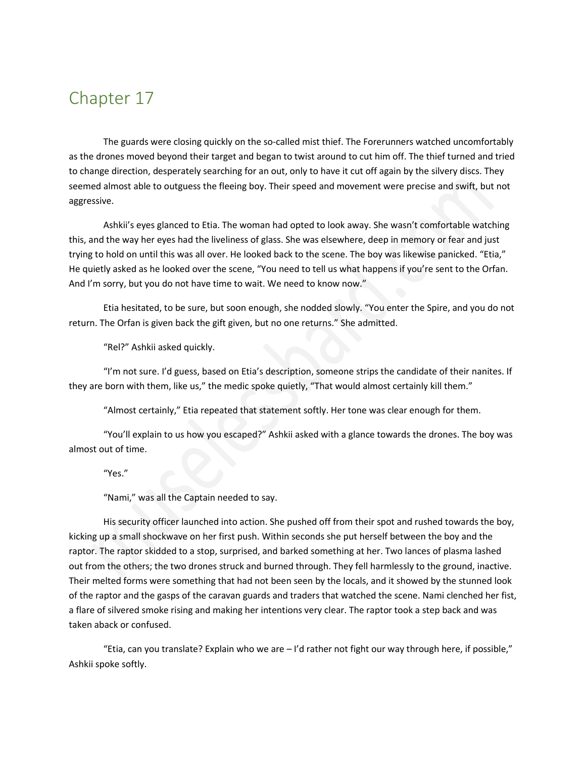## Chapter 17

The guards were closing quickly on the so-called mist thief. The Forerunners watched uncomfortably as the drones moved beyond their target and began to twist around to cut him off. The thief turned and tried to change direction, desperately searching for an out, only to have it cut off again by the silvery discs. They seemed almost able to outguess the fleeing boy. Their speed and movement were precise and swift, but not aggressive.

Ashkii's eyes glanced to Etia. The woman had opted to look away. She wasn't comfortable watching this, and the way her eyes had the liveliness of glass. She was elsewhere, deep in memory or fear and just trying to hold on until this was all over. He looked back to the scene. The boy was likewise panicked. "Etia," He quietly asked as he looked over the scene, "You need to tell us what happens if you're sent to the Orfan. And I'm sorry, but you do not have time to wait. We need to know now."

Etia hesitated, to be sure, but soon enough, she nodded slowly. "You enter the Spire, and you do not return. The Orfan is given back the gift given, but no one returns." She admitted.

"Rel?" Ashkii asked quickly.

"I'm not sure. I'd guess, based on Etia's description, someone strips the candidate of their nanites. If they are born with them, like us," the medic spoke quietly, "That would almost certainly kill them."

"Almost certainly," Etia repeated that statement softly. Her tone was clear enough for them.

"You'll explain to us how you escaped?" Ashkii asked with a glance towards the drones. The boy was almost out of time.

"Yes."

"Nami," was all the Captain needed to say.

His security officer launched into action. She pushed off from their spot and rushed towards the boy, kicking up a small shockwave on her first push. Within seconds she put herself between the boy and the raptor. The raptor skidded to a stop, surprised, and barked something at her. Two lances of plasma lashed out from the others; the two drones struck and burned through. They fell harmlessly to the ground, inactive. Their melted forms were something that had not been seen by the locals, and it showed by the stunned look of the raptor and the gasps of the caravan guards and traders that watched the scene. Nami clenched her fist, a flare of silvered smoke rising and making her intentions very clear. The raptor took a step back and was taken aback or confused.

"Etia, can you translate? Explain who we are  $-1$ 'd rather not fight our way through here, if possible," Ashkii spoke softly.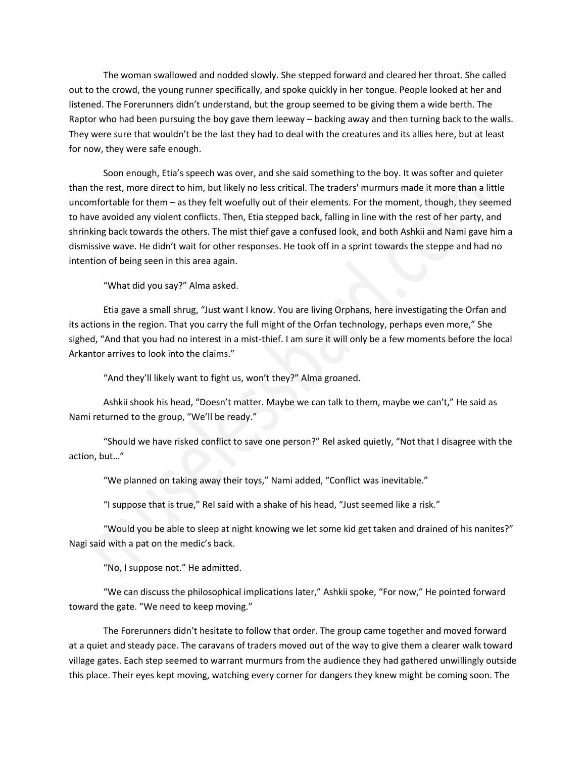The woman swallowed and nodded slowly. She stepped forward and cleared her throat. She called out to the crowd, the young runner specifically, and spoke quickly in her tongue. People looked at her and listened. The Forerunners didn't understand, but the group seemed to be giving them a wide berth. The Raptor who had been pursuing the boy gave them leeway – backing away and then turning back to the walls. They were sure that wouldn't be the last they had to deal with the creatures and its allies here, but at least for now, they were safe enough.

Soon enough, Etia's speech was over, and she said something to the boy. It was softer and quieter than the rest, more direct to him, but likely no less critical. The traders' murmurs made it more than a little uncomfortable for them – as they felt woefully out of their elements. For the moment, though, they seemed to have avoided any violent conflicts. Then, Etia stepped back, falling in line with the rest of her party, and shrinking back towards the others. The mist thief gave a confused look, and both Ashkii and Nami gave him a dismissive wave. He didn't wait for other responses. He took off in a sprint towards the steppe and had no intention of being seen in this area again.

"What did you say?" Alma asked.

Etia gave a small shrug, "Just want I know. You are living Orphans, here investigating the Orfan and its actions in the region. That you carry the full might of the Orfan technology, perhaps even more," She sighed, "And that you had no interest in a mist-thief. I am sure it will only be a few moments before the local Arkantor arrives to look into the claims."

"And they'll likely want to fight us, won't they?" Alma groaned.

Ashkii shook his head, "Doesn't matter. Maybe we can talk to them, maybe we can't," He said as Nami returned to the group, "We'll be ready."

"Should we have risked conflict to save one person?" Rel asked quietly, "Not that I disagree with the action, but…"

"We planned on taking away their toys," Nami added, "Conflict was inevitable."

"I suppose that is true," Rel said with a shake of his head, "Just seemed like a risk."

"Would you be able to sleep at night knowing we let some kid get taken and drained of his nanites?" Nagi said with a pat on the medic's back.

"No, I suppose not." He admitted.

"We can discuss the philosophical implications later," Ashkii spoke, "For now," He pointed forward toward the gate. "We need to keep moving."

The Forerunners didn't hesitate to follow that order. The group came together and moved forward at a quiet and steady pace. The caravans of traders moved out of the way to give them a clearer walk toward village gates. Each step seemed to warrant murmurs from the audience they had gathered unwillingly outside this place. Their eyes kept moving, watching every corner for dangers they knew might be coming soon. The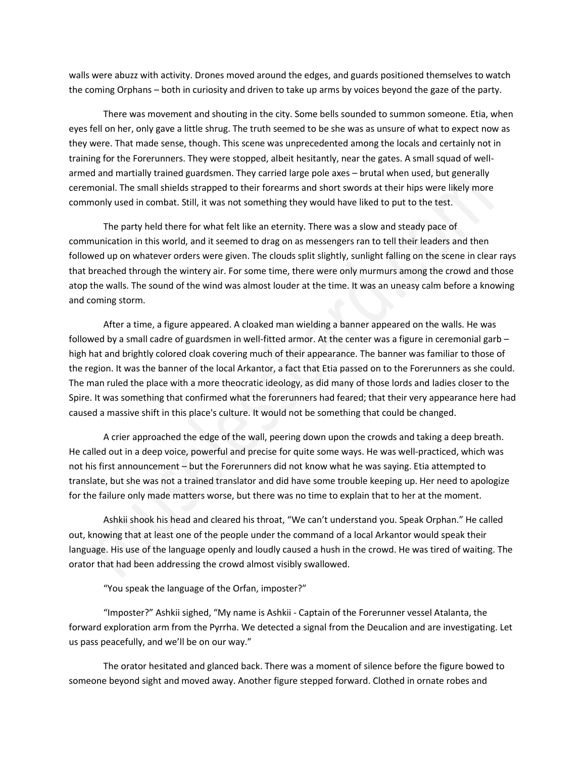walls were abuzz with activity. Drones moved around the edges, and guards positioned themselves to watch the coming Orphans – both in curiosity and driven to take up arms by voices beyond the gaze of the party.

There was movement and shouting in the city. Some bells sounded to summon someone. Etia, when eyes fell on her, only gave a little shrug. The truth seemed to be she was as unsure of what to expect now as they were. That made sense, though. This scene was unprecedented among the locals and certainly not in training for the Forerunners. They were stopped, albeit hesitantly, near the gates. A small squad of wellarmed and martially trained guardsmen. They carried large pole axes – brutal when used, but generally ceremonial. The small shields strapped to their forearms and short swords at their hips were likely more commonly used in combat. Still, it was not something they would have liked to put to the test.

The party held there for what felt like an eternity. There was a slow and steady pace of communication in this world, and it seemed to drag on as messengers ran to tell their leaders and then followed up on whatever orders were given. The clouds split slightly, sunlight falling on the scene in clear rays that breached through the wintery air. For some time, there were only murmurs among the crowd and those atop the walls. The sound of the wind was almost louder at the time. It was an uneasy calm before a knowing and coming storm.

After a time, a figure appeared. A cloaked man wielding a banner appeared on the walls. He was followed by a small cadre of guardsmen in well-fitted armor. At the center was a figure in ceremonial garb – high hat and brightly colored cloak covering much of their appearance. The banner was familiar to those of the region. It was the banner of the local Arkantor, a fact that Etia passed on to the Forerunners as she could. The man ruled the place with a more theocratic ideology, as did many of those lords and ladies closer to the Spire. It was something that confirmed what the forerunners had feared; that their very appearance here had caused a massive shift in this place's culture. It would not be something that could be changed.

A crier approached the edge of the wall, peering down upon the crowds and taking a deep breath. He called out in a deep voice, powerful and precise for quite some ways. He was well-practiced, which was not his first announcement – but the Forerunners did not know what he was saying. Etia attempted to translate, but she was not a trained translator and did have some trouble keeping up. Her need to apologize for the failure only made matters worse, but there was no time to explain that to her at the moment.

Ashkii shook his head and cleared his throat, "We can't understand you. Speak Orphan." He called out, knowing that at least one of the people under the command of a local Arkantor would speak their language. His use of the language openly and loudly caused a hush in the crowd. He was tired of waiting. The orator that had been addressing the crowd almost visibly swallowed.

"You speak the language of the Orfan, imposter?"

"Imposter?" Ashkii sighed, "My name is Ashkii - Captain of the Forerunner vessel Atalanta, the forward exploration arm from the Pyrrha. We detected a signal from the Deucalion and are investigating. Let us pass peacefully, and we'll be on our way."

The orator hesitated and glanced back. There was a moment of silence before the figure bowed to someone beyond sight and moved away. Another figure stepped forward. Clothed in ornate robes and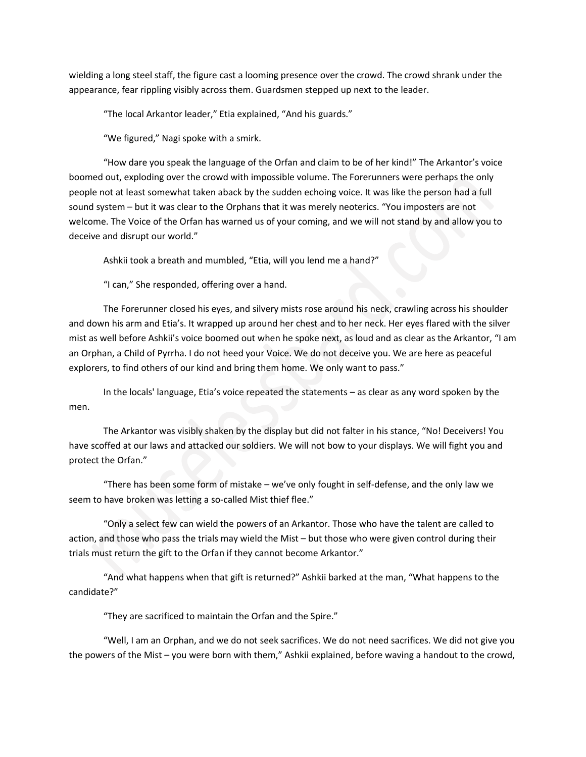wielding a long steel staff, the figure cast a looming presence over the crowd. The crowd shrank under the appearance, fear rippling visibly across them. Guardsmen stepped up next to the leader.

"The local Arkantor leader," Etia explained, "And his guards."

"We figured," Nagi spoke with a smirk.

"How dare you speak the language of the Orfan and claim to be of her kind!" The Arkantor's voice boomed out, exploding over the crowd with impossible volume. The Forerunners were perhaps the only people not at least somewhat taken aback by the sudden echoing voice. It was like the person had a full sound system – but it was clear to the Orphans that it was merely neoterics. "You imposters are not welcome. The Voice of the Orfan has warned us of your coming, and we will not stand by and allow you to deceive and disrupt our world."

Ashkii took a breath and mumbled, "Etia, will you lend me a hand?"

"I can," She responded, offering over a hand.

The Forerunner closed his eyes, and silvery mists rose around his neck, crawling across his shoulder and down his arm and Etia's. It wrapped up around her chest and to her neck. Her eyes flared with the silver mist as well before Ashkii's voice boomed out when he spoke next, as loud and as clear as the Arkantor, "I am an Orphan, a Child of Pyrrha. I do not heed your Voice. We do not deceive you. We are here as peaceful explorers, to find others of our kind and bring them home. We only want to pass."

In the locals' language, Etia's voice repeated the statements – as clear as any word spoken by the men.

The Arkantor was visibly shaken by the display but did not falter in his stance, "No! Deceivers! You have scoffed at our laws and attacked our soldiers. We will not bow to your displays. We will fight you and protect the Orfan."

"There has been some form of mistake – we've only fought in self-defense, and the only law we seem to have broken was letting a so-called Mist thief flee."

"Only a select few can wield the powers of an Arkantor. Those who have the talent are called to action, and those who pass the trials may wield the Mist – but those who were given control during their trials must return the gift to the Orfan if they cannot become Arkantor."

"And what happens when that gift is returned?" Ashkii barked at the man, "What happens to the candidate?"

"They are sacrificed to maintain the Orfan and the Spire."

"Well, I am an Orphan, and we do not seek sacrifices. We do not need sacrifices. We did not give you the powers of the Mist – you were born with them," Ashkii explained, before waving a handout to the crowd,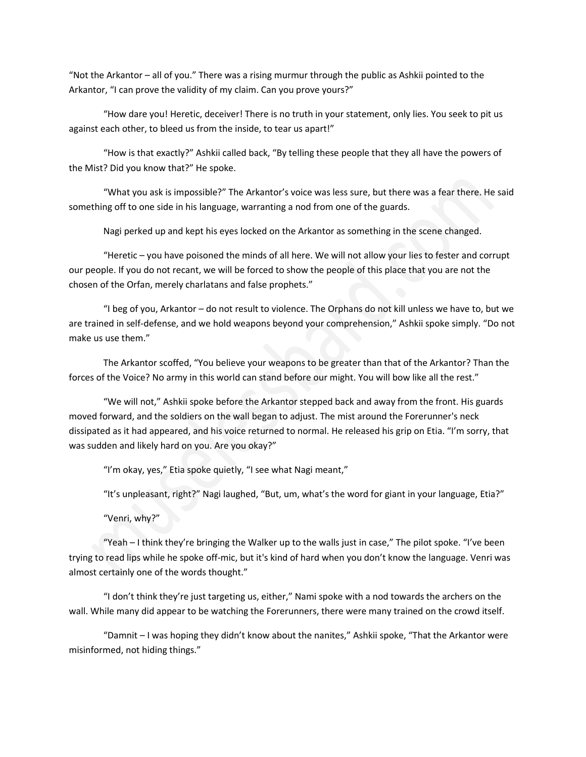"Not the Arkantor – all of you." There was a rising murmur through the public as Ashkii pointed to the Arkantor, "I can prove the validity of my claim. Can you prove yours?"

"How dare you! Heretic, deceiver! There is no truth in your statement, only lies. You seek to pit us against each other, to bleed us from the inside, to tear us apart!"

"How is that exactly?" Ashkii called back, "By telling these people that they all have the powers of the Mist? Did you know that?" He spoke.

"What you ask is impossible?" The Arkantor's voice was less sure, but there was a fear there. He said something off to one side in his language, warranting a nod from one of the guards.

Nagi perked up and kept his eyes locked on the Arkantor as something in the scene changed.

"Heretic – you have poisoned the minds of all here. We will not allow your lies to fester and corrupt our people. If you do not recant, we will be forced to show the people of this place that you are not the chosen of the Orfan, merely charlatans and false prophets."

"I beg of you, Arkantor – do not result to violence. The Orphans do not kill unless we have to, but we are trained in self-defense, and we hold weapons beyond your comprehension," Ashkii spoke simply. "Do not make us use them."

The Arkantor scoffed, "You believe your weapons to be greater than that of the Arkantor? Than the forces of the Voice? No army in this world can stand before our might. You will bow like all the rest."

"We will not," Ashkii spoke before the Arkantor stepped back and away from the front. His guards moved forward, and the soldiers on the wall began to adjust. The mist around the Forerunner's neck dissipated as it had appeared, and his voice returned to normal. He released his grip on Etia. "I'm sorry, that was sudden and likely hard on you. Are you okay?"

"I'm okay, yes," Etia spoke quietly, "I see what Nagi meant,"

"It's unpleasant, right?" Nagi laughed, "But, um, what's the word for giant in your language, Etia?"

"Venri, why?"

"Yeah – I think they're bringing the Walker up to the walls just in case," The pilot spoke. "I've been trying to read lips while he spoke off-mic, but it's kind of hard when you don't know the language. Venri was almost certainly one of the words thought."

"I don't think they're just targeting us, either," Nami spoke with a nod towards the archers on the wall. While many did appear to be watching the Forerunners, there were many trained on the crowd itself.

"Damnit – I was hoping they didn't know about the nanites," Ashkii spoke, "That the Arkantor were misinformed, not hiding things."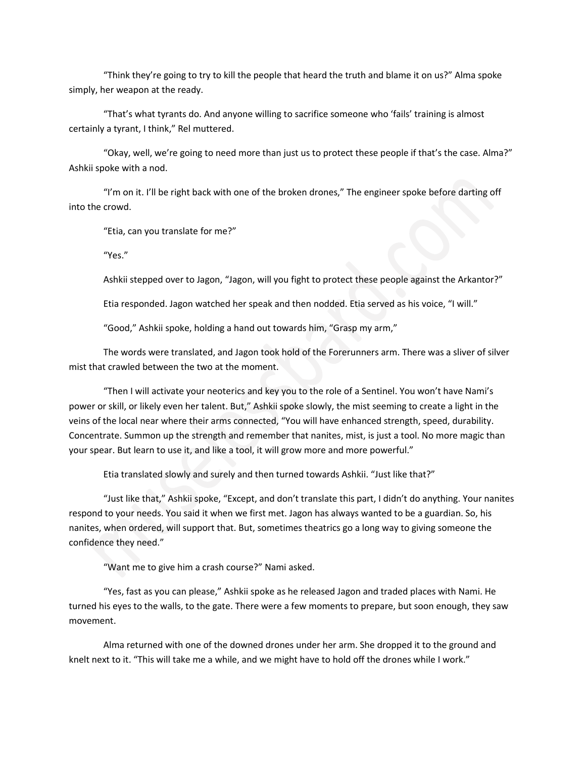"Think they're going to try to kill the people that heard the truth and blame it on us?" Alma spoke simply, her weapon at the ready.

"That's what tyrants do. And anyone willing to sacrifice someone who 'fails' training is almost certainly a tyrant, I think," Rel muttered.

"Okay, well, we're going to need more than just us to protect these people if that's the case. Alma?" Ashkii spoke with a nod.

"I'm on it. I'll be right back with one of the broken drones," The engineer spoke before darting off into the crowd.

"Etia, can you translate for me?"

"Yes."

Ashkii stepped over to Jagon, "Jagon, will you fight to protect these people against the Arkantor?"

Etia responded. Jagon watched her speak and then nodded. Etia served as his voice, "I will."

"Good," Ashkii spoke, holding a hand out towards him, "Grasp my arm,"

The words were translated, and Jagon took hold of the Forerunners arm. There was a sliver of silver mist that crawled between the two at the moment.

"Then I will activate your neoterics and key you to the role of a Sentinel. You won't have Nami's power or skill, or likely even her talent. But," Ashkii spoke slowly, the mist seeming to create a light in the veins of the local near where their arms connected, "You will have enhanced strength, speed, durability. Concentrate. Summon up the strength and remember that nanites, mist, is just a tool. No more magic than your spear. But learn to use it, and like a tool, it will grow more and more powerful."

Etia translated slowly and surely and then turned towards Ashkii. "Just like that?"

"Just like that," Ashkii spoke, "Except, and don't translate this part, I didn't do anything. Your nanites respond to your needs. You said it when we first met. Jagon has always wanted to be a guardian. So, his nanites, when ordered, will support that. But, sometimes theatrics go a long way to giving someone the confidence they need."

"Want me to give him a crash course?" Nami asked.

"Yes, fast as you can please," Ashkii spoke as he released Jagon and traded places with Nami. He turned his eyes to the walls, to the gate. There were a few moments to prepare, but soon enough, they saw movement.

Alma returned with one of the downed drones under her arm. She dropped it to the ground and knelt next to it. "This will take me a while, and we might have to hold off the drones while I work."